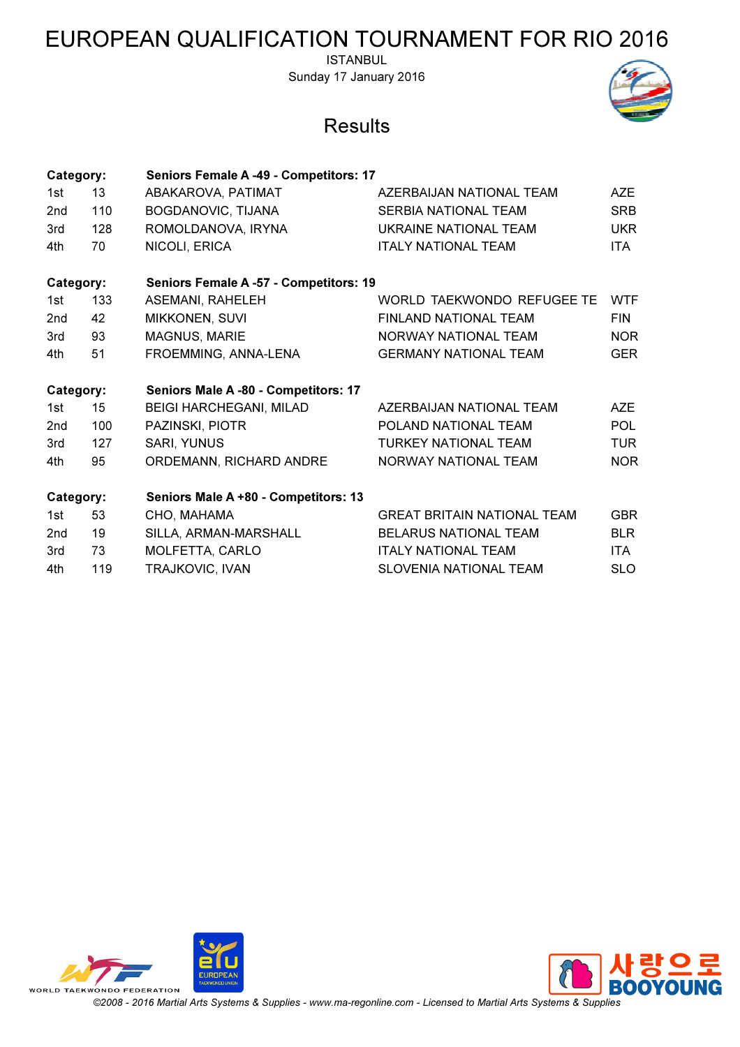ISTANBUL Sunday 17 January 2016

#### **Results**



| Category:       |     | Seniors Female A -49 - Competitors: 17        |                                    |            |
|-----------------|-----|-----------------------------------------------|------------------------------------|------------|
| 1st             | 13  | ABAKAROVA, PATIMAT                            | AZERBAIJAN NATIONAL TEAM           | AZE        |
| 2 <sub>nd</sub> | 110 | BOGDANOVIC, TIJANA                            | <b>SERBIA NATIONAL TEAM</b>        | <b>SRB</b> |
| 3rd             | 128 | ROMOLDANOVA, IRYNA                            | UKRAINE NATIONAL TEAM              | <b>UKR</b> |
| 4th             | 70  | NICOLI, ERICA                                 | <b>ITALY NATIONAL TEAM</b>         | <b>ITA</b> |
| Category:       |     | <b>Seniors Female A -57 - Competitors: 19</b> |                                    |            |
| 1st             | 133 | <b>ASEMANI, RAHELEH</b>                       | WORLD TAEKWONDO REFUGEE TE         | <b>WTF</b> |
| 2 <sub>nd</sub> | 42  | MIKKONEN, SUVI                                | <b>FINLAND NATIONAL TEAM</b>       | <b>FIN</b> |
| 3rd             | 93  | <b>MAGNUS, MARIE</b>                          | <b>NORWAY NATIONAL TEAM</b>        | <b>NOR</b> |
| 4th             | 51  | FROEMMING, ANNA-LENA                          | <b>GERMANY NATIONAL TEAM</b>       | <b>GER</b> |
| Category:       |     | Seniors Male A -80 - Competitors: 17          |                                    |            |
| 1st             | 15  | <b>BEIGI HARCHEGANI, MILAD</b>                | AZERBAIJAN NATIONAL TEAM           | <b>AZE</b> |
| 2 <sub>nd</sub> | 100 | PAZINSKI, PIOTR                               | POLAND NATIONAL TEAM               | <b>POL</b> |
| 3rd             | 127 | SARI, YUNUS                                   | TURKEY NATIONAL TEAM               | <b>TUR</b> |
| 4th             | 95  | ORDEMANN, RICHARD ANDRE                       | NORWAY NATIONAL TEAM               | <b>NOR</b> |
| Category:       |     | Seniors Male A +80 - Competitors: 13          |                                    |            |
| 1st             | 53  | CHO, MAHAMA                                   | <b>GREAT BRITAIN NATIONAL TEAM</b> | <b>GBR</b> |
| 2 <sub>nd</sub> | 19  | SILLA, ARMAN-MARSHALL                         | <b>BELARUS NATIONAL TEAM</b>       | <b>BLR</b> |
| 3rd             | 73  | MOLFETTA, CARLO                               | <b>ITALY NATIONAL TEAM</b>         | ITA.       |
| 4th             | 119 | TRAJKOVIC, IVAN                               | <b>SLOVENIA NATIONAL TEAM</b>      | <b>SLO</b> |
|                 |     |                                               |                                    |            |



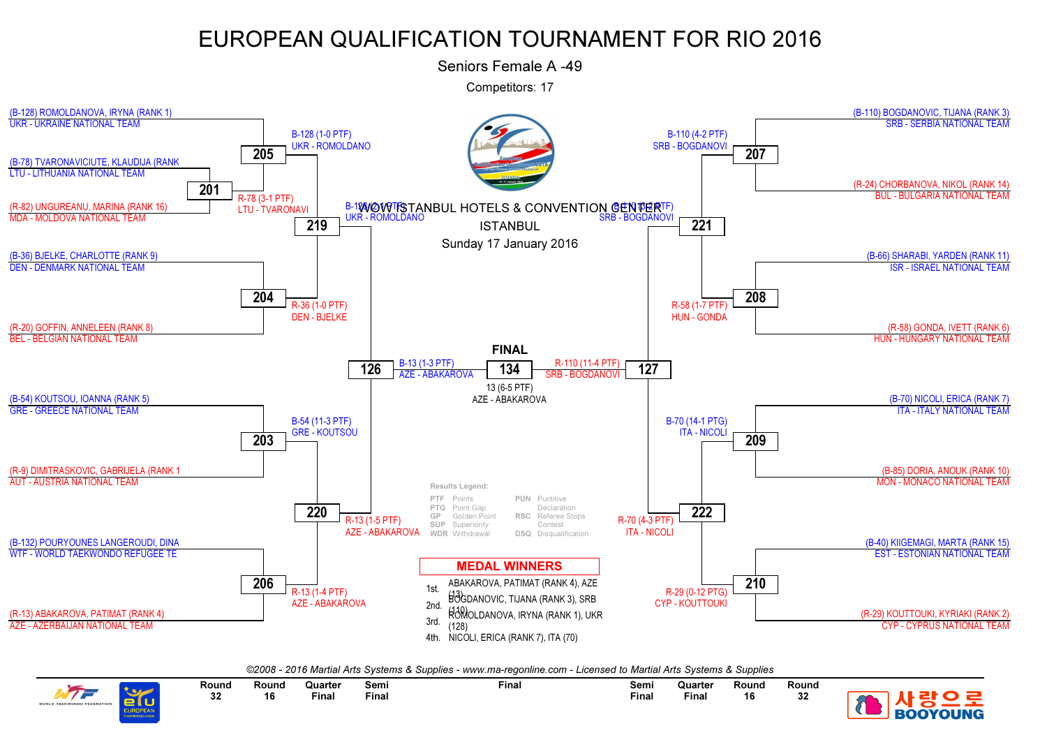Seniors Female A -49

Competitors: 17



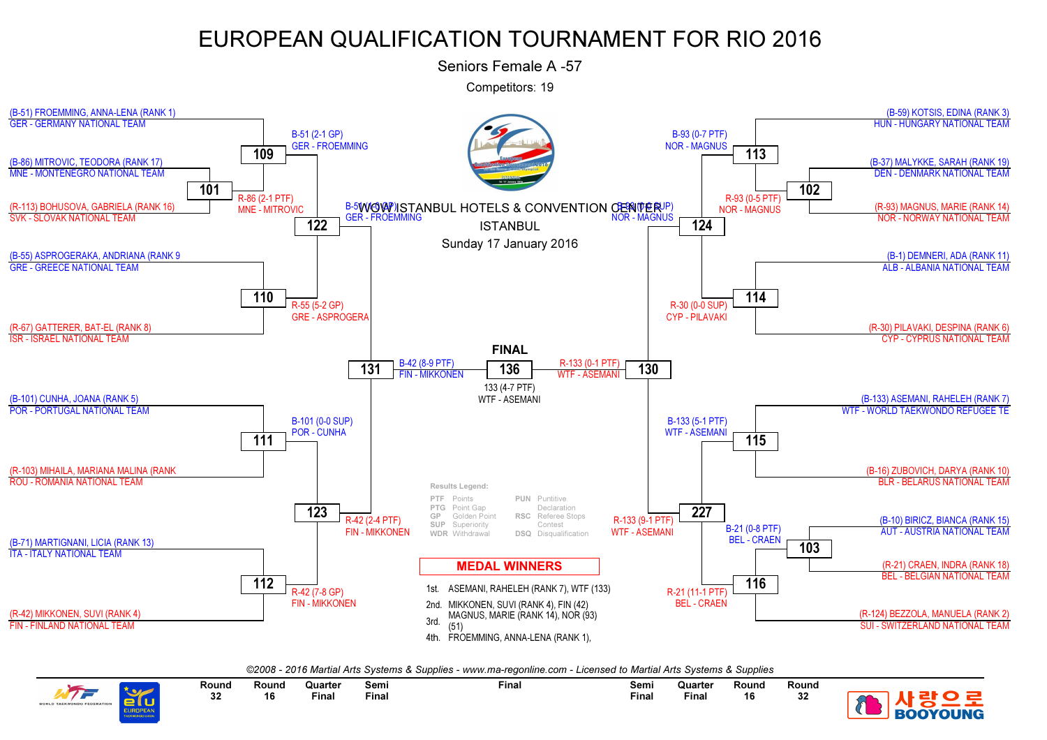

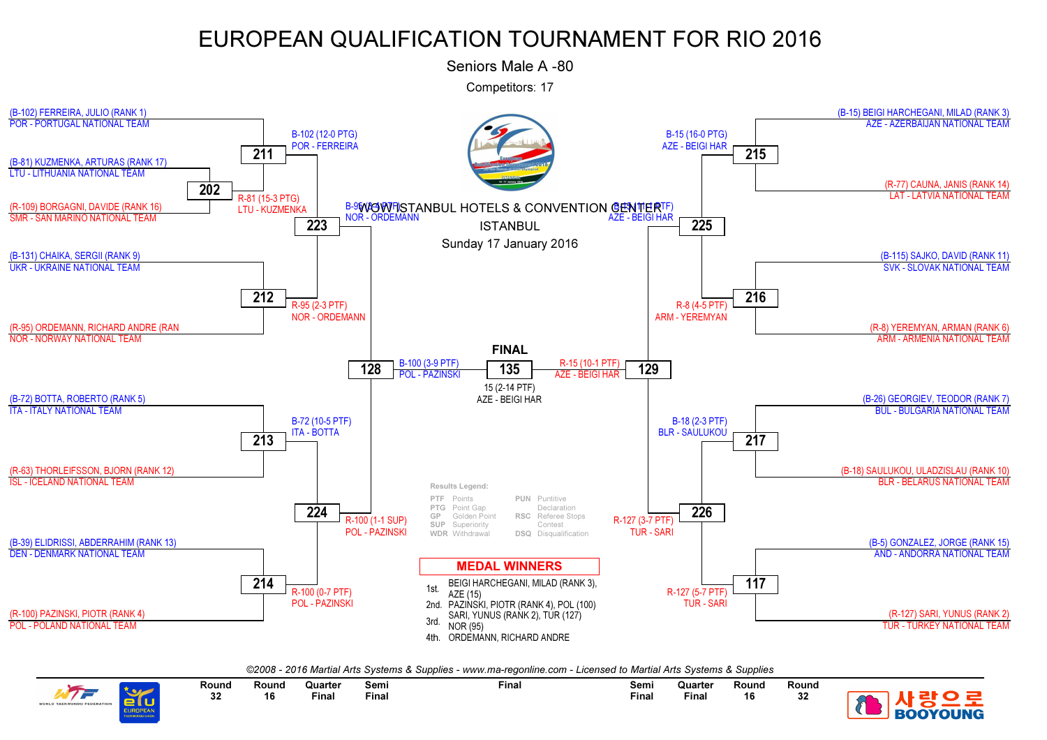Seniors Male A -80

Competitors: 17